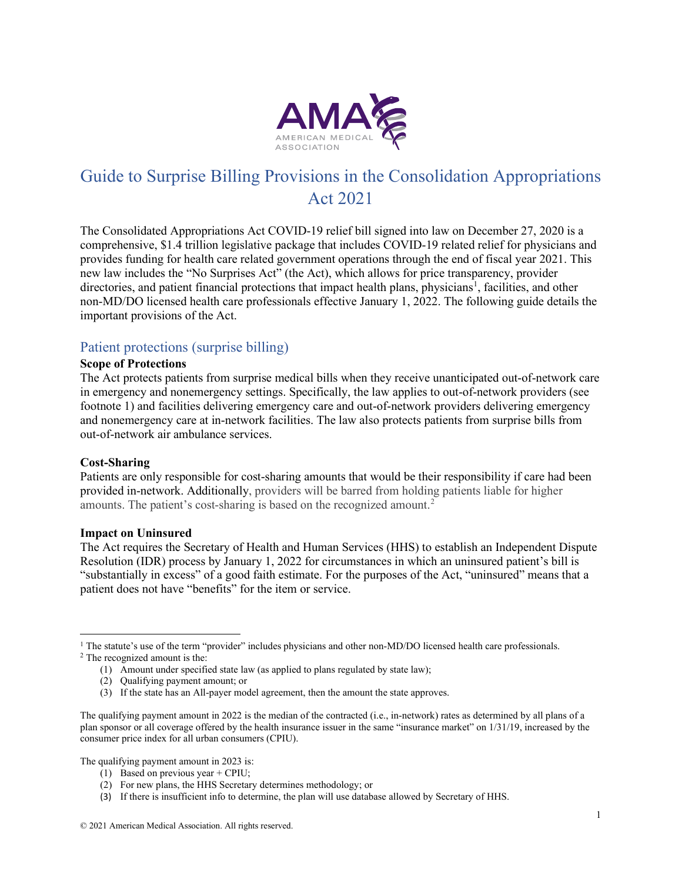

# Guide to Surprise Billing Provisions in the Consolidation Appropriations Act 2021

The Consolidated Appropriations Act COVID-19 relief bill signed into law on December 27, 2020 is a comprehensive, \$1.4 trillion legislative package that includes COVID-19 related relief for physicians and provides funding for health care related government operations through the end of fiscal year 2021. This new law includes the "No Surprises Act" (the Act), which allows for price transparency, provider directories, and patient financial protections that impact health plans, physicians<sup>1</sup>, facilities, and other non-MD/DO licensed health care professionals effective January 1, 2022. The following guide details the important provisions of the Act.

### Patient protections (surprise billing)

#### **Scope of Protections**

The Act protects patients from surprise medical bills when they receive unanticipated out-of-network care in emergency and nonemergency settings. Specifically, the law applies to out-of-network providers (see footnote 1) and facilities delivering emergency care and out-of-network providers delivering emergency and nonemergency care at in-network facilities. The law also protects patients from surprise bills from out-of-network air ambulance services.

#### **Cost-Sharing**

Patients are only responsible for cost-sharing amounts that would be their responsibility if care had been provided in-network. Additionally, providers will be barred from holding patients liable for higher amounts. The patient's cost-sharing is based on the recognized amount.<sup>[2](#page-0-1)</sup>

#### **Impact on Uninsured**

The Act requires the Secretary of Health and Human Services (HHS) to establish an Independent Dispute Resolution (IDR) process by January 1, 2022 for circumstances in which an uninsured patient's bill is "substantially in excess" of a good faith estimate. For the purposes of the Act, "uninsured" means that a patient does not have "benefits" for the item or service.

<span id="page-0-0"></span> $1$  The statute's use of the term "provider" includes physicians and other non-MD/DO licensed health care professionals.

<span id="page-0-1"></span><sup>2</sup> The recognized amount is the:

(2) Qualifying payment amount; or

The qualifying payment amount in 2023 is:

(1) Based on previous year + CPIU;

(3) If there is insufficient info to determine, the plan will use database allowed by Secretary of HHS.

<sup>(1)</sup> Amount under specified state law (as applied to plans regulated by state law);

<sup>(3)</sup> If the state has an All-payer model agreement, then the amount the state approves.

The qualifying payment amount in 2022 is the median of the contracted (i.e., in-network) rates as determined by all plans of a plan sponsor or all coverage offered by the health insurance issuer in the same "insurance market" on 1/31/19, increased by the consumer price index for all urban consumers (CPIU).

<sup>(2)</sup> For new plans, the HHS Secretary determines methodology; or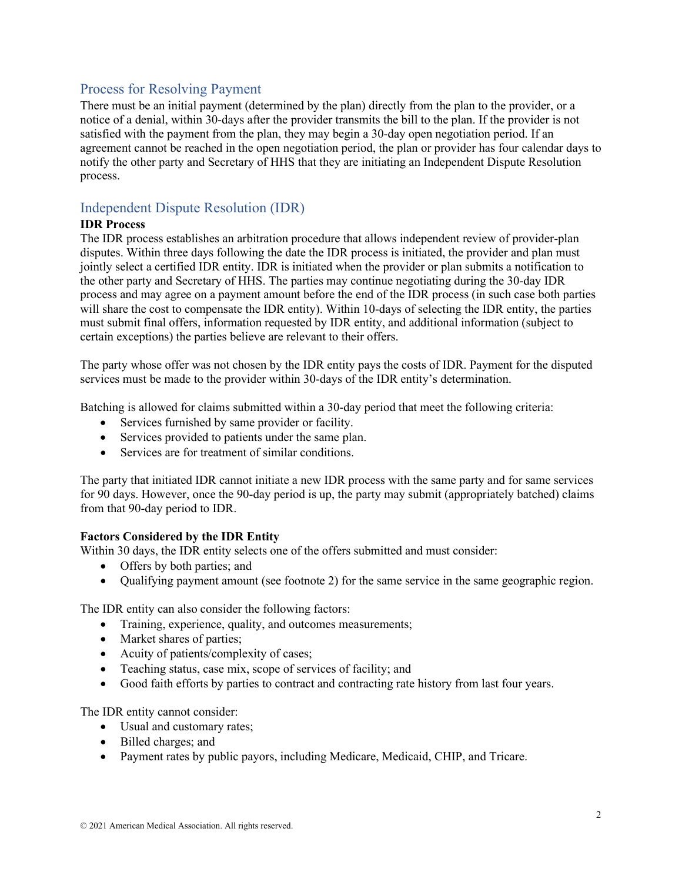### Process for Resolving Payment

There must be an initial payment (determined by the plan) directly from the plan to the provider, or a notice of a denial, within 30-days after the provider transmits the bill to the plan. If the provider is not satisfied with the payment from the plan, they may begin a 30-day open negotiation period. If an agreement cannot be reached in the open negotiation period, the plan or provider has four calendar days to notify the other party and Secretary of HHS that they are initiating an Independent Dispute Resolution process.

## Independent Dispute Resolution (IDR)

### **IDR Process**

The IDR process establishes an arbitration procedure that allows independent review of provider-plan disputes. Within three days following the date the IDR process is initiated, the provider and plan must jointly select a certified IDR entity. IDR is initiated when the provider or plan submits a notification to the other party and Secretary of HHS. The parties may continue negotiating during the 30-day IDR process and may agree on a payment amount before the end of the IDR process (in such case both parties will share the cost to compensate the IDR entity). Within 10-days of selecting the IDR entity, the parties must submit final offers, information requested by IDR entity, and additional information (subject to certain exceptions) the parties believe are relevant to their offers.

The party whose offer was not chosen by the IDR entity pays the costs of IDR. Payment for the disputed services must be made to the provider within 30-days of the IDR entity's determination.

Batching is allowed for claims submitted within a 30-day period that meet the following criteria:

- Services furnished by same provider or facility.
- Services provided to patients under the same plan.
- Services are for treatment of similar conditions.

The party that initiated IDR cannot initiate a new IDR process with the same party and for same services for 90 days. However, once the 90-day period is up, the party may submit (appropriately batched) claims from that 90-day period to IDR.

#### **Factors Considered by the IDR Entity**

Within 30 days, the IDR entity selects one of the offers submitted and must consider:

- Offers by both parties; and
- Qualifying payment amount (see footnote 2) for the same service in the same geographic region.

The IDR entity can also consider the following factors:

- Training, experience, quality, and outcomes measurements;
- Market shares of parties;
- Acuity of patients/complexity of cases;
- Teaching status, case mix, scope of services of facility; and
- Good faith efforts by parties to contract and contracting rate history from last four years.

The IDR entity cannot consider:

- Usual and customary rates;
- Billed charges; and
- Payment rates by public payors, including Medicare, Medicaid, CHIP, and Tricare.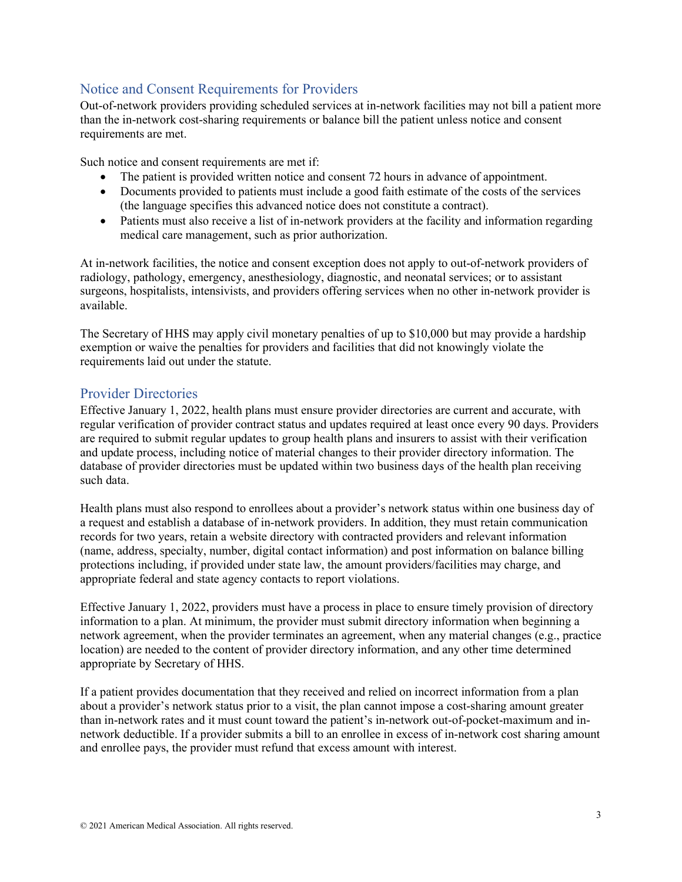## Notice and Consent Requirements for Providers

Out-of-network providers providing scheduled services at in-network facilities may not bill a patient more than the in-network cost-sharing requirements or balance bill the patient unless notice and consent requirements are met.

Such notice and consent requirements are met if:

- The patient is provided written notice and consent 72 hours in advance of appointment.
- Documents provided to patients must include a good faith estimate of the costs of the services (the language specifies this advanced notice does not constitute a contract).
- Patients must also receive a list of in-network providers at the facility and information regarding medical care management, such as prior authorization.

At in-network facilities, the notice and consent exception does not apply to out-of-network providers of radiology, pathology, emergency, anesthesiology, diagnostic, and neonatal services; or to assistant surgeons, hospitalists, intensivists, and providers offering services when no other in-network provider is available.

The Secretary of HHS may apply civil monetary penalties of up to \$10,000 but may provide a hardship exemption or waive the penalties for providers and facilities that did not knowingly violate the requirements laid out under the statute.

## Provider Directories

Effective January 1, 2022, health plans must ensure provider directories are current and accurate, with regular verification of provider contract status and updates required at least once every 90 days. Providers are required to submit regular updates to group health plans and insurers to assist with their verification and update process, including notice of material changes to their provider directory information. The database of provider directories must be updated within two business days of the health plan receiving such data.

Health plans must also respond to enrollees about a provider's network status within one business day of a request and establish a database of in-network providers. In addition, they must retain communication records for two years, retain a website directory with contracted providers and relevant information (name, address, specialty, number, digital contact information) and post information on balance billing protections including, if provided under state law, the amount providers/facilities may charge, and appropriate federal and state agency contacts to report violations.

Effective January 1, 2022, providers must have a process in place to ensure timely provision of directory information to a plan. At minimum, the provider must submit directory information when beginning a network agreement, when the provider terminates an agreement, when any material changes (e.g., practice location) are needed to the content of provider directory information, and any other time determined appropriate by Secretary of HHS.

If a patient provides documentation that they received and relied on incorrect information from a plan about a provider's network status prior to a visit, the plan cannot impose a cost-sharing amount greater than in-network rates and it must count toward the patient's in-network out-of-pocket-maximum and innetwork deductible. If a provider submits a bill to an enrollee in excess of in-network cost sharing amount and enrollee pays, the provider must refund that excess amount with interest.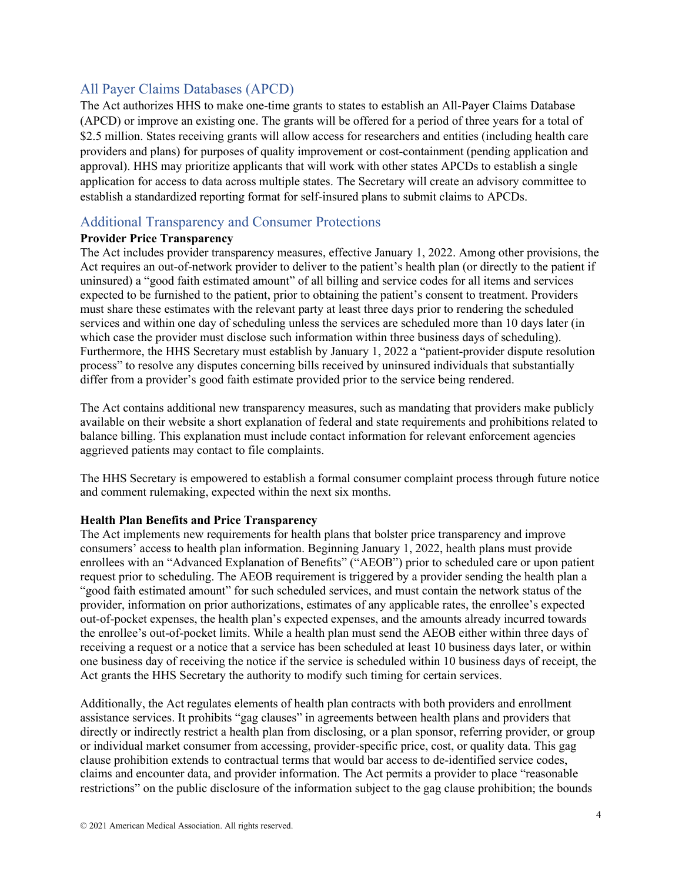### All Payer Claims Databases (APCD)

The Act authorizes HHS to make one-time grants to states to establish an All-Payer Claims Database (APCD) or improve an existing one. The grants will be offered for a period of three years for a total of \$2.5 million. States receiving grants will allow access for researchers and entities (including health care providers and plans) for purposes of quality improvement or cost-containment (pending application and approval). HHS may prioritize applicants that will work with other states APCDs to establish a single application for access to data across multiple states. The Secretary will create an advisory committee to establish a standardized reporting format for self-insured plans to submit claims to APCDs.

### Additional Transparency and Consumer Protections

#### **Provider Price Transparency**

The Act includes provider transparency measures, effective January 1, 2022. Among other provisions, the Act requires an out-of-network provider to deliver to the patient's health plan (or directly to the patient if uninsured) a "good faith estimated amount" of all billing and service codes for all items and services expected to be furnished to the patient, prior to obtaining the patient's consent to treatment. Providers must share these estimates with the relevant party at least three days prior to rendering the scheduled services and within one day of scheduling unless the services are scheduled more than 10 days later (in which case the provider must disclose such information within three business days of scheduling). Furthermore, the HHS Secretary must establish by January 1, 2022 a "patient-provider dispute resolution process" to resolve any disputes concerning bills received by uninsured individuals that substantially differ from a provider's good faith estimate provided prior to the service being rendered.

The Act contains additional new transparency measures, such as mandating that providers make publicly available on their website a short explanation of federal and state requirements and prohibitions related to balance billing. This explanation must include contact information for relevant enforcement agencies aggrieved patients may contact to file complaints.

The HHS Secretary is empowered to establish a formal consumer complaint process through future notice and comment rulemaking, expected within the next six months.

#### **Health Plan Benefits and Price Transparency**

The Act implements new requirements for health plans that bolster price transparency and improve consumers' access to health plan information. Beginning January 1, 2022, health plans must provide enrollees with an "Advanced Explanation of Benefits" ("AEOB") prior to scheduled care or upon patient request prior to scheduling. The AEOB requirement is triggered by a provider sending the health plan a "good faith estimated amount" for such scheduled services, and must contain the network status of the provider, information on prior authorizations, estimates of any applicable rates, the enrollee's expected out-of-pocket expenses, the health plan's expected expenses, and the amounts already incurred towards the enrollee's out-of-pocket limits. While a health plan must send the AEOB either within three days of receiving a request or a notice that a service has been scheduled at least 10 business days later, or within one business day of receiving the notice if the service is scheduled within 10 business days of receipt, the Act grants the HHS Secretary the authority to modify such timing for certain services.

Additionally, the Act regulates elements of health plan contracts with both providers and enrollment assistance services. It prohibits "gag clauses" in agreements between health plans and providers that directly or indirectly restrict a health plan from disclosing, or a plan sponsor, referring provider, or group or individual market consumer from accessing, provider-specific price, cost, or quality data. This gag clause prohibition extends to contractual terms that would bar access to de-identified service codes, claims and encounter data, and provider information. The Act permits a provider to place "reasonable restrictions" on the public disclosure of the information subject to the gag clause prohibition; the bounds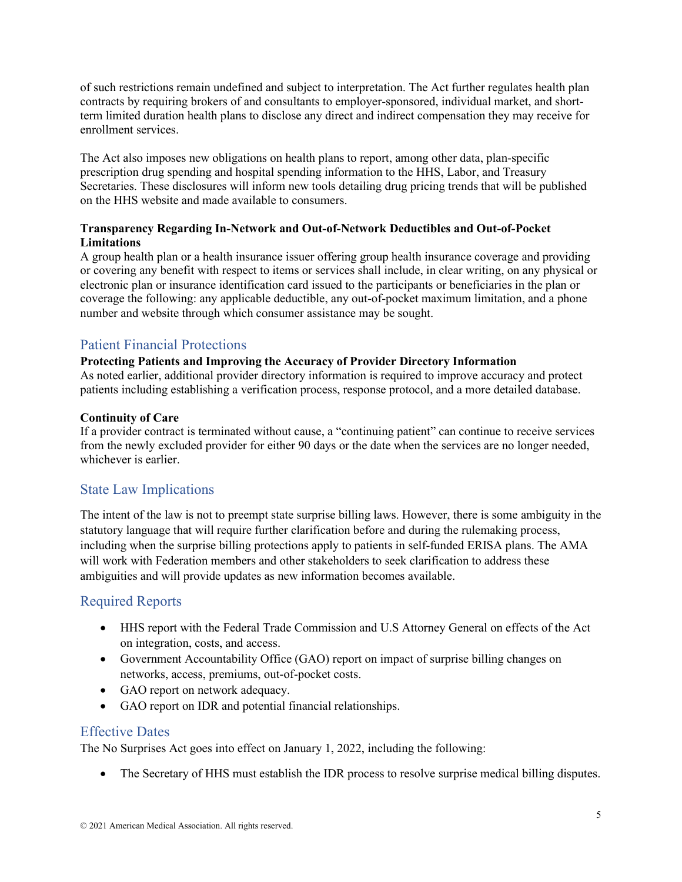of such restrictions remain undefined and subject to interpretation. The Act further regulates health plan contracts by requiring brokers of and consultants to employer-sponsored, individual market, and shortterm limited duration health plans to disclose any direct and indirect compensation they may receive for enrollment services.

The Act also imposes new obligations on health plans to report, among other data, plan-specific prescription drug spending and hospital spending information to the HHS, Labor, and Treasury Secretaries. These disclosures will inform new tools detailing drug pricing trends that will be published on the HHS website and made available to consumers.

### **Transparency Regarding In-Network and Out-of-Network Deductibles and Out-of-Pocket Limitations**

A group health plan or a health insurance issuer offering group health insurance coverage and providing or covering any benefit with respect to items or services shall include, in clear writing, on any physical or electronic plan or insurance identification card issued to the participants or beneficiaries in the plan or coverage the following: any applicable deductible, any out-of-pocket maximum limitation, and a phone number and website through which consumer assistance may be sought.

# Patient Financial Protections

#### **Protecting Patients and Improving the Accuracy of Provider Directory Information**

As noted earlier, additional provider directory information is required to improve accuracy and protect patients including establishing a verification process, response protocol, and a more detailed database.

#### **Continuity of Care**

If a provider contract is terminated without cause, a "continuing patient" can continue to receive services from the newly excluded provider for either 90 days or the date when the services are no longer needed, whichever is earlier.

### State Law Implications

The intent of the law is not to preempt state surprise billing laws. However, there is some ambiguity in the statutory language that will require further clarification before and during the rulemaking process, including when the surprise billing protections apply to patients in self-funded ERISA plans. The AMA will work with Federation members and other stakeholders to seek clarification to address these ambiguities and will provide updates as new information becomes available.

### Required Reports

- HHS report with the Federal Trade Commission and U.S Attorney General on effects of the Act on integration, costs, and access.
- Government Accountability Office (GAO) report on impact of surprise billing changes on networks, access, premiums, out-of-pocket costs.
- GAO report on network adequacy.
- GAO report on IDR and potential financial relationships.

### Effective Dates

The No Surprises Act goes into effect on January 1, 2022, including the following:

• The Secretary of HHS must establish the IDR process to resolve surprise medical billing disputes.